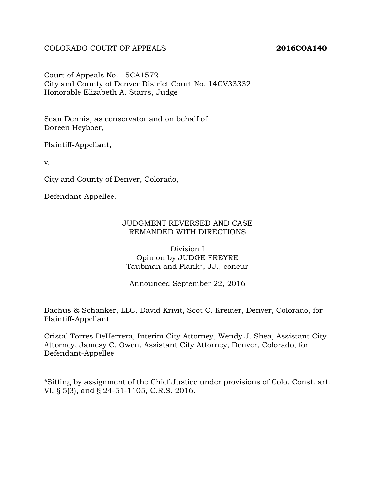Court of Appeals No. 15CA1572 City and County of Denver District Court No. 14CV33332 Honorable Elizabeth A. Starrs, Judge

Sean Dennis, as conservator and on behalf of Doreen Heyboer,

Plaintiff-Appellant,

v.

City and County of Denver, Colorado,

Defendant-Appellee.

#### JUDGMENT REVERSED AND CASE REMANDED WITH DIRECTIONS

Division I Opinion by JUDGE FREYRE Taubman and Plank\*, JJ., concur

Announced September 22, 2016

Bachus & Schanker, LLC, David Krivit, Scot C. Kreider, Denver, Colorado, for Plaintiff-Appellant

Cristal Torres DeHerrera, Interim City Attorney, Wendy J. Shea, Assistant City Attorney, Jamesy C. Owen, Assistant City Attorney, Denver, Colorado, for Defendant-Appellee

\*Sitting by assignment of the Chief Justice under provisions of Colo. Const. art. VI, § 5(3), and § 24-51-1105, C.R.S. 2016.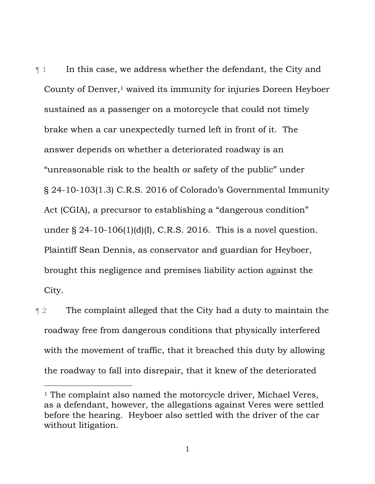$\P$  1 In this case, we address whether the defendant, the City and County of Denver,<sup>1</sup> waived its immunity for injuries Doreen Heyboer sustained as a passenger on a motorcycle that could not timely brake when a car unexpectedly turned left in front of it. The answer depends on whether a deteriorated roadway is an "unreasonable risk to the health or safety of the public" under § 24-10-103(1.3) C.R.S. 2016 of Colorado's Governmental Immunity Act (CGIA), a precursor to establishing a "dangerous condition" under  $\S$  24-10-106(1)(d)(I), C.R.S. 2016. This is a novel question. Plaintiff Sean Dennis, as conservator and guardian for Heyboer, brought this negligence and premises liability action against the City.

**The complaint alleged that the City had a duty to maintain the** roadway free from dangerous conditions that physically interfered with the movement of traffic, that it breached this duty by allowing the roadway to fall into disrepair, that it knew of the deteriorated

l

<sup>&</sup>lt;sup>1</sup> The complaint also named the motorcycle driver, Michael Veres, as a defendant, however, the allegations against Veres were settled before the hearing. Heyboer also settled with the driver of the car without litigation.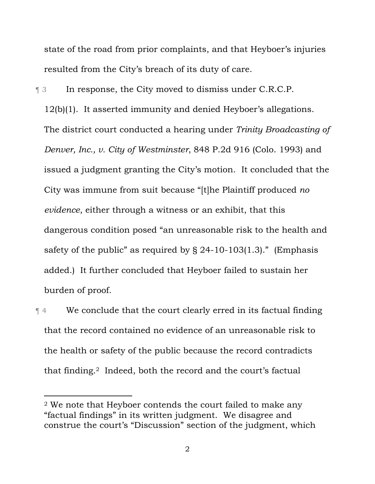state of the road from prior complaints, and that Heyboer's injuries resulted from the City's breach of its duty of care.

¶ 3 In response, the City moved to dismiss under C.R.C.P.

12(b)(1). It asserted immunity and denied Heyboer's allegations. The district court conducted a hearing under *Trinity Broadcasting of Denver, Inc., v. City of Westminster*, 848 P.2d 916 (Colo. 1993) and issued a judgment granting the City's motion. It concluded that the City was immune from suit because "[t]he Plaintiff produced *no evidence*, either through a witness or an exhibit, that this dangerous condition posed "an unreasonable risk to the health and safety of the public" as required by  $\S$  24-10-103(1.3)." (Emphasis added.) It further concluded that Heyboer failed to sustain her burden of proof.

¶ 4 We conclude that the court clearly erred in its factual finding that the record contained no evidence of an unreasonable risk to the health or safety of the public because the record contradicts that finding.2 Indeed, both the record and the court's factual

 $\overline{a}$ 

<sup>2</sup> We note that Heyboer contends the court failed to make any "factual findings" in its written judgment. We disagree and construe the court's "Discussion" section of the judgment, which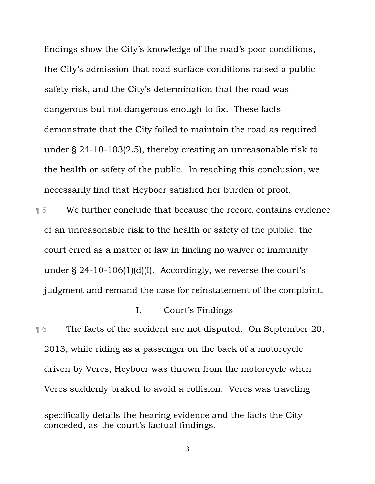findings show the City's knowledge of the road's poor conditions, the City's admission that road surface conditions raised a public safety risk, and the City's determination that the road was dangerous but not dangerous enough to fix. These facts demonstrate that the City failed to maintain the road as required under § 24-10-103(2.5), thereby creating an unreasonable risk to the health or safety of the public. In reaching this conclusion, we necessarily find that Heyboer satisfied her burden of proof.

¶ 5 We further conclude that because the record contains evidence of an unreasonable risk to the health or safety of the public, the court erred as a matter of law in finding no waiver of immunity under § 24-10-106(1)(d)(I). Accordingly, we reverse the court's judgment and remand the case for reinstatement of the complaint.

## I. Court's Findings

¶ 6 The facts of the accident are not disputed. On September 20, 2013, while riding as a passenger on the back of a motorcycle driven by Veres, Heyboer was thrown from the motorcycle when Veres suddenly braked to avoid a collision. Veres was traveling

 $\overline{a}$ 

specifically details the hearing evidence and the facts the City conceded, as the court's factual findings.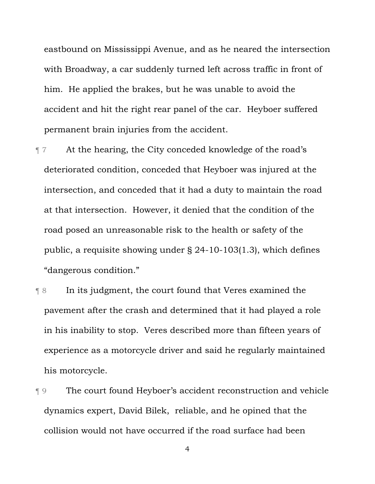eastbound on Mississippi Avenue, and as he neared the intersection with Broadway, a car suddenly turned left across traffic in front of him. He applied the brakes, but he was unable to avoid the accident and hit the right rear panel of the car. Heyboer suffered permanent brain injuries from the accident.

- ¶ 7 At the hearing, the City conceded knowledge of the road's deteriorated condition, conceded that Heyboer was injured at the intersection, and conceded that it had a duty to maintain the road at that intersection. However, it denied that the condition of the road posed an unreasonable risk to the health or safety of the public, a requisite showing under § 24-10-103(1.3), which defines "dangerous condition."
- ¶ 8 In its judgment, the court found that Veres examined the pavement after the crash and determined that it had played a role in his inability to stop. Veres described more than fifteen years of experience as a motorcycle driver and said he regularly maintained his motorcycle.
- ¶ 9 The court found Heyboer's accident reconstruction and vehicle dynamics expert, David Bilek, reliable, and he opined that the collision would not have occurred if the road surface had been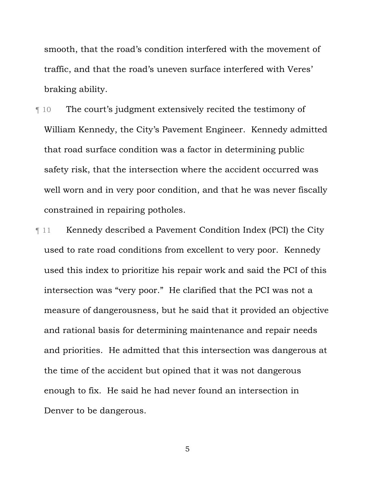smooth, that the road's condition interfered with the movement of traffic, and that the road's uneven surface interfered with Veres' braking ability.

- ¶ 10 The court's judgment extensively recited the testimony of William Kennedy, the City's Pavement Engineer. Kennedy admitted that road surface condition was a factor in determining public safety risk, that the intersection where the accident occurred was well worn and in very poor condition, and that he was never fiscally constrained in repairing potholes.
- ¶ 11 Kennedy described a Pavement Condition Index (PCI) the City used to rate road conditions from excellent to very poor. Kennedy used this index to prioritize his repair work and said the PCI of this intersection was "very poor." He clarified that the PCI was not a measure of dangerousness, but he said that it provided an objective and rational basis for determining maintenance and repair needs and priorities. He admitted that this intersection was dangerous at the time of the accident but opined that it was not dangerous enough to fix. He said he had never found an intersection in Denver to be dangerous.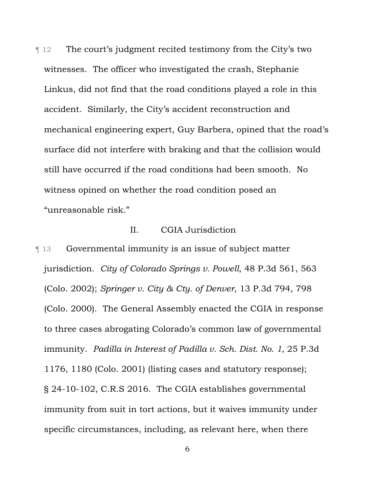¶ 12 The court's judgment recited testimony from the City's two witnesses. The officer who investigated the crash, Stephanie Linkus, did not find that the road conditions played a role in this accident. Similarly, the City's accident reconstruction and mechanical engineering expert, Guy Barbera, opined that the road's surface did not interfere with braking and that the collision would still have occurred if the road conditions had been smooth. No witness opined on whether the road condition posed an "unreasonable risk."

## II. CGIA Jurisdiction

¶ 13 Governmental immunity is an issue of subject matter jurisdiction. *City of Colorado Springs v. Powell*, 48 P.3d 561, 563 (Colo. 2002); *Springer v. City & Cty. of Denver*, 13 P.3d 794, 798 (Colo. 2000). The General Assembly enacted the CGIA in response to three cases abrogating Colorado's common law of governmental immunity. *Padilla in Interest of Padilla v. Sch. Dist. No. 1*, 25 P.3d 1176, 1180 (Colo. 2001) (listing cases and statutory response); § 24-10-102, C.R.S 2016. The CGIA establishes governmental immunity from suit in tort actions, but it waives immunity under specific circumstances, including, as relevant here, when there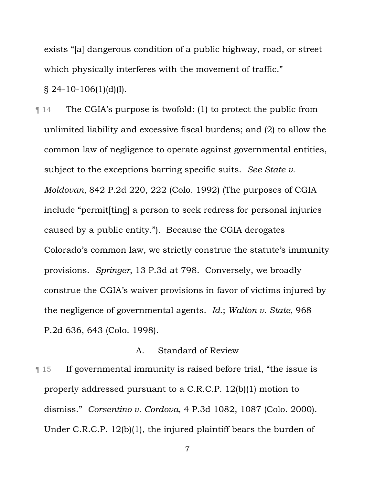exists "[a] dangerous condition of a public highway, road, or street which physically interferes with the movement of traffic."  $\S$  24-10-106(1)(d)(I).

¶ 14 The CGIA's purpose is twofold: (1) to protect the public from unlimited liability and excessive fiscal burdens; and (2) to allow the common law of negligence to operate against governmental entities, subject to the exceptions barring specific suits. *See State v. Moldovan*, 842 P.2d 220, 222 (Colo. 1992) (The purposes of CGIA include "permit[ting] a person to seek redress for personal injuries caused by a public entity."). Because the CGIA derogates Colorado's common law, we strictly construe the statute's immunity provisions. *Springer*, 13 P.3d at 798. Conversely, we broadly construe the CGIA's waiver provisions in favor of victims injured by the negligence of governmental agents. *Id.*; *Walton v. State*, 968 P.2d 636, 643 (Colo. 1998).

## A. Standard of Review

¶ 15 If governmental immunity is raised before trial, "the issue is properly addressed pursuant to a C.R.C.P. 12(b)(1) motion to dismiss." *Corsentino v. Cordova*, 4 P.3d 1082, 1087 (Colo. 2000). Under C.R.C.P. 12(b)(1), the injured plaintiff bears the burden of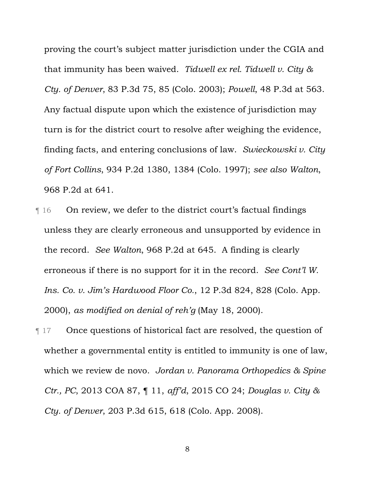proving the court's subject matter jurisdiction under the CGIA and that immunity has been waived. *Tidwell ex rel. Tidwell v. City & Cty. of Denver*, 83 P.3d 75, 85 (Colo. 2003); *Powell*, 48 P.3d at 563. Any factual dispute upon which the existence of jurisdiction may turn is for the district court to resolve after weighing the evidence, finding facts, and entering conclusions of law. *Swieckowski v. City of Fort Collins*, 934 P.2d 1380, 1384 (Colo. 1997); *see also Walton*, 968 P.2d at 641.

- ¶ 16 On review, we defer to the district court's factual findings unless they are clearly erroneous and unsupported by evidence in the record. *See Walton*, 968 P.2d at 645. A finding is clearly erroneous if there is no support for it in the record. *See Cont'l W. Ins. Co. v. Jim's Hardwood Floor Co.*, 12 P.3d 824, 828 (Colo. App. 2000), *as modified on denial of reh'g* (May 18, 2000).
- ¶ 17 Once questions of historical fact are resolved, the question of whether a governmental entity is entitled to immunity is one of law, which we review de novo. *Jordan v. Panorama Orthopedics & Spine Ctr., PC*, 2013 COA 87, ¶ 11, *aff'd*, 2015 CO 24; *Douglas v. City & Cty. of Denver*, 203 P.3d 615, 618 (Colo. App. 2008).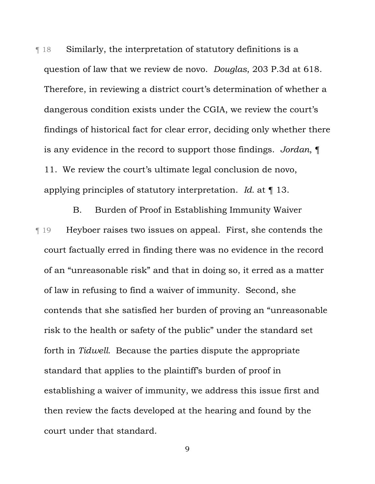¶ 18 Similarly, the interpretation of statutory definitions is a question of law that we review de novo. *Douglas*, 203 P.3d at 618. Therefore, in reviewing a district court's determination of whether a dangerous condition exists under the CGIA, we review the court's findings of historical fact for clear error, deciding only whether there is any evidence in the record to support those findings. *Jordan*, ¶ 11.We review the court's ultimate legal conclusion de novo, applying principles of statutory interpretation. *Id.* at ¶ 13.

B. Burden of Proof in Establishing Immunity Waiver ¶ 19 Heyboer raises two issues on appeal. First, she contends the court factually erred in finding there was no evidence in the record of an "unreasonable risk" and that in doing so, it erred as a matter of law in refusing to find a waiver of immunity. Second, she contends that she satisfied her burden of proving an "unreasonable risk to the health or safety of the public" under the standard set forth in *Tidwell*.Because the parties dispute the appropriate standard that applies to the plaintiff's burden of proof in establishing a waiver of immunity, we address this issue first and then review the facts developed at the hearing and found by the court under that standard.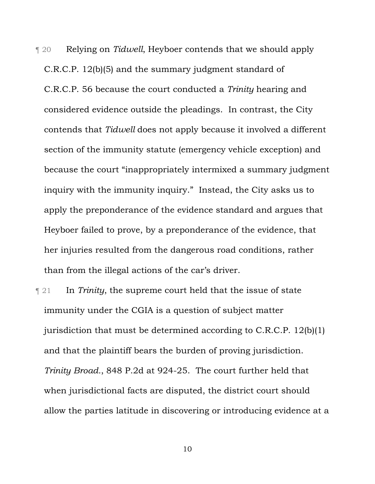¶ 20 Relying on *Tidwell*, Heyboer contends that we should apply C.R.C.P. 12(b)(5) and the summary judgment standard of C.R.C.P. 56 because the court conducted a *Trinity* hearing and considered evidence outside the pleadings. In contrast, the City contends that *Tidwell* does not apply because it involved a different section of the immunity statute (emergency vehicle exception) and because the court "inappropriately intermixed a summary judgment inquiry with the immunity inquiry." Instead, the City asks us to apply the preponderance of the evidence standard and argues that Heyboer failed to prove, by a preponderance of the evidence, that her injuries resulted from the dangerous road conditions, rather than from the illegal actions of the car's driver.

¶ 21 In *Trinity*, the supreme court held that the issue of state immunity under the CGIA is a question of subject matter jurisdiction that must be determined according to C.R.C.P. 12(b)(1) and that the plaintiff bears the burden of proving jurisdiction. *Trinity Broad.*, 848 P.2d at 924-25. The court further held that when jurisdictional facts are disputed, the district court should allow the parties latitude in discovering or introducing evidence at a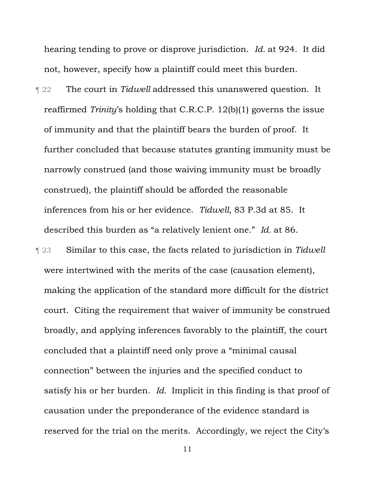hearing tending to prove or disprove jurisdiction. *Id.* at 924. It did not, however, specify how a plaintiff could meet this burden.

¶ 22 The court in *Tidwell* addressed this unanswered question. It reaffirmed *Trinity*'s holding that C.R.C.P. 12(b)(1) governs the issue of immunity and that the plaintiff bears the burden of proof. It further concluded that because statutes granting immunity must be narrowly construed (and those waiving immunity must be broadly construed), the plaintiff should be afforded the reasonable inferences from his or her evidence. *Tidwell*, 83 P.3d at 85. It described this burden as "a relatively lenient one." *Id.* at 86.

¶ 23 Similar to this case, the facts related to jurisdiction in *Tidwell*  were intertwined with the merits of the case (causation element), making the application of the standard more difficult for the district court. Citing the requirement that waiver of immunity be construed broadly, and applying inferences favorably to the plaintiff, the court concluded that a plaintiff need only prove a "minimal causal connection" between the injuries and the specified conduct to satisfy his or her burden. *Id.* Implicit in this finding is that proof of causation under the preponderance of the evidence standard is reserved for the trial on the merits. Accordingly, we reject the City's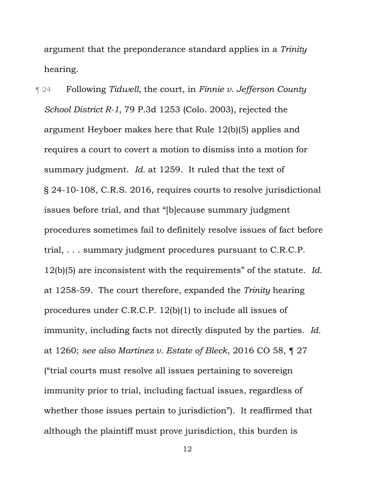argument that the preponderance standard applies in a *Trinity*  hearing.

¶ 24 Following *Tidwell*, the court, in *Finnie v. Jefferson County School District R-1*, 79 P.3d 1253 (Colo. 2003), rejected the argument Heyboer makes here that Rule 12(b)(5) applies and requires a court to covert a motion to dismiss into a motion for summary judgment. *Id.* at 1259. It ruled that the text of § 24-10-108, C.R.S. 2016, requires courts to resolve jurisdictional issues before trial, and that "[b]ecause summary judgment procedures sometimes fail to definitely resolve issues of fact before trial, . . . summary judgment procedures pursuant to C.R.C.P. 12(b)(5) are inconsistent with the requirements" of the statute. *Id.*  at 1258-59. The court therefore, expanded the *Trinity* hearing procedures under C.R.C.P. 12(b)(1) to include all issues of immunity, including facts not directly disputed by the parties. *Id.*  at 1260; *see also Martinez v. Estate of Bleck*, 2016 CO 58, ¶ 27 ("trial courts must resolve all issues pertaining to sovereign immunity prior to trial, including factual issues, regardless of whether those issues pertain to jurisdiction"). It reaffirmed that although the plaintiff must prove jurisdiction, this burden is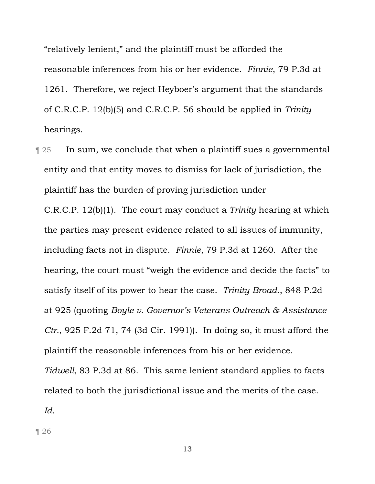"relatively lenient," and the plaintiff must be afforded the reasonable inferences from his or her evidence. *Finnie*, 79 P.3d at 1261. Therefore, we reject Heyboer's argument that the standards of C.R.C.P. 12(b)(5) and C.R.C.P. 56 should be applied in *Trinity*  hearings.

**Term 25** In sum, we conclude that when a plaintiff sues a governmental entity and that entity moves to dismiss for lack of jurisdiction, the plaintiff has the burden of proving jurisdiction under

C.R.C.P. 12(b)(1). The court may conduct a *Trinity* hearing at which the parties may present evidence related to all issues of immunity, including facts not in dispute. *Finnie*, 79 P.3d at 1260. After the hearing, the court must "weigh the evidence and decide the facts" to satisfy itself of its power to hear the case. *Trinity Broad.*, 848 P.2d at 925 (quoting *Boyle v. Governor's Veterans Outreach & Assistance Ctr.*, 925 F.2d 71, 74 (3d Cir. 1991)). In doing so, it must afford the plaintiff the reasonable inferences from his or her evidence.

*Tidwell*, 83 P.3d at 86. This same lenient standard applies to facts related to both the jurisdictional issue and the merits of the case.

*Id.* 

¶ 26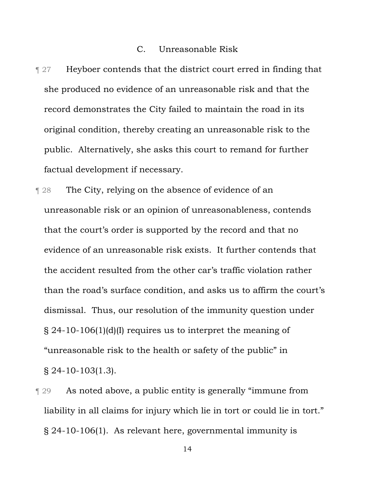#### C. Unreasonable Risk

- **Text** 127 Heyboer contends that the district court erred in finding that she produced no evidence of an unreasonable risk and that the record demonstrates the City failed to maintain the road in its original condition, thereby creating an unreasonable risk to the public. Alternatively, she asks this court to remand for further factual development if necessary.
- ¶ 28 The City, relying on the absence of evidence of an unreasonable risk or an opinion of unreasonableness, contends that the court's order is supported by the record and that no evidence of an unreasonable risk exists. It further contends that the accident resulted from the other car's traffic violation rather than the road's surface condition, and asks us to affirm the court's dismissal. Thus, our resolution of the immunity question under § 24-10-106(1)(d)(I) requires us to interpret the meaning of "unreasonable risk to the health or safety of the public" in § 24-10-103(1.3).
- ¶ 29 As noted above, a public entity is generally "immune from liability in all claims for injury which lie in tort or could lie in tort." § 24-10-106(1). As relevant here, governmental immunity is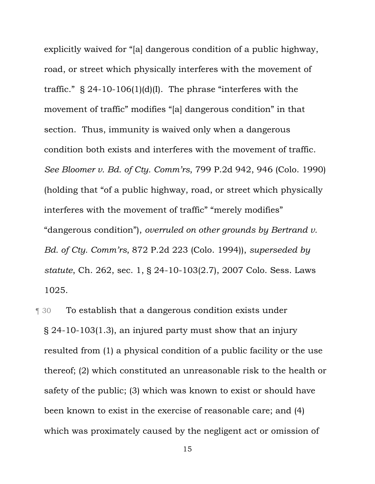explicitly waived for "[a] dangerous condition of a public highway, road, or street which physically interferes with the movement of traffic."  $\S$  24-10-106(1)(d)(I). The phrase "interferes with the movement of traffic" modifies "[a] dangerous condition" in that section. Thus, immunity is waived only when a dangerous condition both exists and interferes with the movement of traffic. *See Bloomer v. Bd. of Cty. Comm'rs*, 799 P.2d 942, 946 (Colo. 1990) (holding that "of a public highway, road, or street which physically interferes with the movement of traffic" "merely modifies" "dangerous condition"), *overruled on other grounds by Bertrand v. Bd. of Cty. Comm'rs*, 872 P.2d 223 (Colo. 1994)), *superseded by statute*, Ch. 262, sec. 1, § 24-10-103(2.7), 2007 Colo. Sess. Laws 1025.

**The Stablish that a dangerous condition exists under** § 24-10-103(1.3), an injured party must show that an injury resulted from (1) a physical condition of a public facility or the use thereof; (2) which constituted an unreasonable risk to the health or safety of the public; (3) which was known to exist or should have been known to exist in the exercise of reasonable care; and (4) which was proximately caused by the negligent act or omission of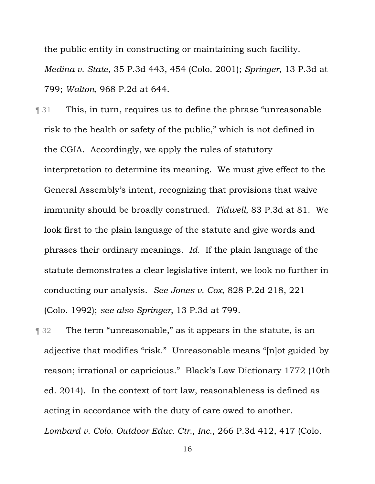the public entity in constructing or maintaining such facility.

*Medina v. State*, 35 P.3d 443, 454 (Colo. 2001); *Springer*, 13 P.3d at 799; *Walton*, 968 P.2d at 644.

- ¶ 31 This, in turn, requires us to define the phrase "unreasonable risk to the health or safety of the public," which is not defined in the CGIA. Accordingly, we apply the rules of statutory interpretation to determine its meaning. We must give effect to the General Assembly's intent, recognizing that provisions that waive immunity should be broadly construed. *Tidwell*, 83 P.3d at 81. We look first to the plain language of the statute and give words and phrases their ordinary meanings. *Id.* If the plain language of the statute demonstrates a clear legislative intent, we look no further in conducting our analysis. *See Jones v. Cox*, 828 P.2d 218, 221 (Colo. 1992); *see also Springer*, 13 P.3d at 799.
- ¶ 32 The term "unreasonable," as it appears in the statute, is an adjective that modifies "risk." Unreasonable means "[n]ot guided by reason; irrational or capricious." Black's Law Dictionary 1772 (10th ed. 2014). In the context of tort law, reasonableness is defined as acting in accordance with the duty of care owed to another. *Lombard v. Colo. Outdoor Educ. Ctr., Inc.*, 266 P.3d 412, 417 (Colo.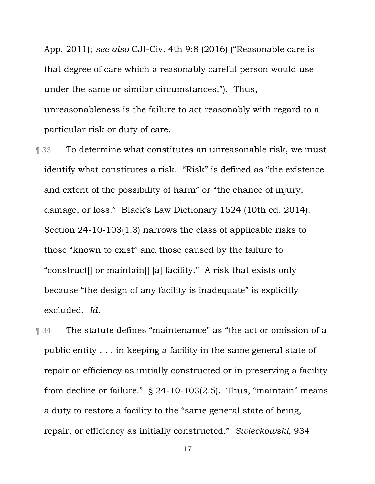App. 2011); *see also* CJI-Civ. 4th 9:8 (2016) ("Reasonable care is that degree of care which a reasonably careful person would use under the same or similar circumstances."). Thus, unreasonableness is the failure to act reasonably with regard to a particular risk or duty of care.

- **Therefore is all the Stephands** To determine what constitutes an unreasonable risk, we must identify what constitutes a risk. "Risk" is defined as "the existence and extent of the possibility of harm" or "the chance of injury, damage, or loss." Black's Law Dictionary 1524 (10th ed. 2014). Section 24-10-103(1.3) narrows the class of applicable risks to those "known to exist" and those caused by the failure to "construct[] or maintain[] [a] facility." A risk that exists only because "the design of any facility is inadequate" is explicitly excluded. *Id.*
- ¶ 34 The statute defines "maintenance" as "the act or omission of a public entity . . . in keeping a facility in the same general state of repair or efficiency as initially constructed or in preserving a facility from decline or failure."  $\S$  24-10-103(2.5). Thus, "maintain" means a duty to restore a facility to the "same general state of being, repair, or efficiency as initially constructed." *Swieckowski*, 934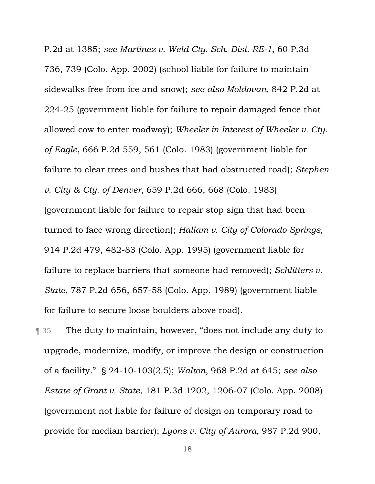P.2d at 1385; *see Martinez v. Weld Cty. Sch. Dist. RE-1*, 60 P.3d 736, 739 (Colo. App. 2002) (school liable for failure to maintain sidewalks free from ice and snow); *see also Moldovan*, 842 P.2d at 224-25 (government liable for failure to repair damaged fence that allowed cow to enter roadway); *Wheeler in Interest of Wheeler v. Cty. of Eagle*, 666 P.2d 559, 561 (Colo. 1983) (government liable for failure to clear trees and bushes that had obstructed road); *Stephen v. City & Cty. of Denver*, 659 P.2d 666, 668 (Colo. 1983) (government liable for failure to repair stop sign that had been turned to face wrong direction); *Hallam v. City of Colorado Springs*, 914 P.2d 479, 482-83 (Colo. App. 1995) (government liable for failure to replace barriers that someone had removed); *Schlitters v. State*, 787 P.2d 656, 657-58 (Colo. App. 1989) (government liable for failure to secure loose boulders above road).

¶ 35 The duty to maintain, however, "does not include any duty to upgrade, modernize, modify, or improve the design or construction of a facility." § 24-10-103(2.5); *Walton*, 968 P.2d at 645; *see also Estate of Grant v. State*, 181 P.3d 1202, 1206-07 (Colo. App. 2008) (government not liable for failure of design on temporary road to provide for median barrier); *Lyons v. City of Aurora*, 987 P.2d 900,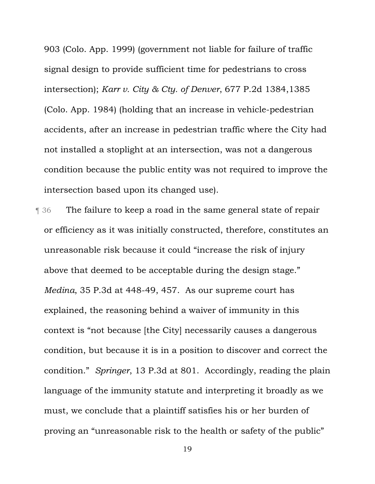903 (Colo. App. 1999) (government not liable for failure of traffic signal design to provide sufficient time for pedestrians to cross intersection); *Karr v. City & Cty. of Denver*, 677 P.2d 1384,1385 (Colo. App. 1984) (holding that an increase in vehicle-pedestrian accidents, after an increase in pedestrian traffic where the City had not installed a stoplight at an intersection, was not a dangerous condition because the public entity was not required to improve the intersection based upon its changed use).

¶ 36 The failure to keep a road in the same general state of repair or efficiency as it was initially constructed, therefore, constitutes an unreasonable risk because it could "increase the risk of injury above that deemed to be acceptable during the design stage." *Medina*, 35 P.3d at 448-49, 457. As our supreme court has explained, the reasoning behind a waiver of immunity in this context is "not because [the City] necessarily causes a dangerous condition, but because it is in a position to discover and correct the condition." *Springer*, 13 P.3d at 801. Accordingly, reading the plain language of the immunity statute and interpreting it broadly as we must, we conclude that a plaintiff satisfies his or her burden of proving an "unreasonable risk to the health or safety of the public"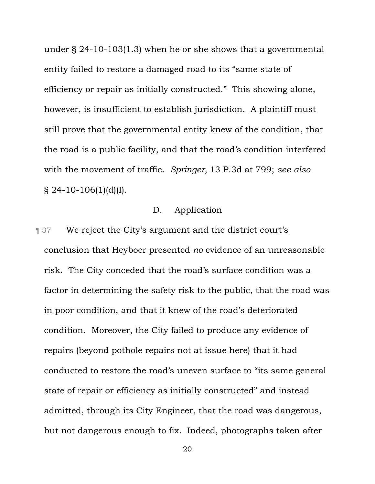under § 24-10-103(1.3) when he or she shows that a governmental entity failed to restore a damaged road to its "same state of efficiency or repair as initially constructed." This showing alone, however, is insufficient to establish jurisdiction. A plaintiff must still prove that the governmental entity knew of the condition, that the road is a public facility, and that the road's condition interfered with the movement of traffic. *Springer,* 13 P.3d at 799; *see also*   $$24-10-106(1)(d)(I).$ 

# D. Application

**Text** 37 We reject the City's argument and the district court's conclusion that Heyboer presented *no* evidence of an unreasonable risk. The City conceded that the road's surface condition was a factor in determining the safety risk to the public, that the road was in poor condition, and that it knew of the road's deteriorated condition. Moreover, the City failed to produce any evidence of repairs (beyond pothole repairs not at issue here) that it had conducted to restore the road's uneven surface to "its same general state of repair or efficiency as initially constructed" and instead admitted, through its City Engineer, that the road was dangerous, but not dangerous enough to fix. Indeed, photographs taken after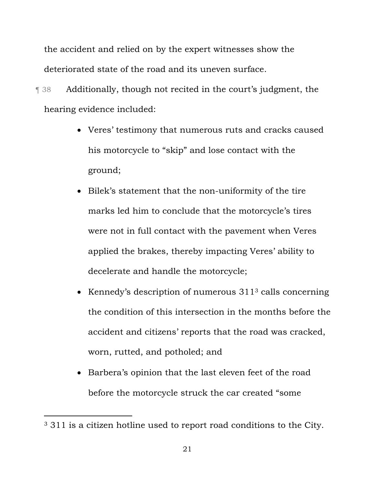the accident and relied on by the expert witnesses show the deteriorated state of the road and its uneven surface.

¶ 38 Additionally, though not recited in the court's judgment, the hearing evidence included:

- Veres' testimony that numerous ruts and cracks caused his motorcycle to "skip" and lose contact with the ground;
- Bilek's statement that the non-uniformity of the tire marks led him to conclude that the motorcycle's tires were not in full contact with the pavement when Veres applied the brakes, thereby impacting Veres' ability to decelerate and handle the motorcycle;
- $\bullet$  Kennedy's description of numerous 311<sup>3</sup> calls concerning the condition of this intersection in the months before the accident and citizens' reports that the road was cracked, worn, rutted, and potholed; and
- Barbera's opinion that the last eleven feet of the road before the motorcycle struck the car created "some

 $\overline{a}$ 

<sup>&</sup>lt;sup>3</sup> 311 is a citizen hotline used to report road conditions to the City.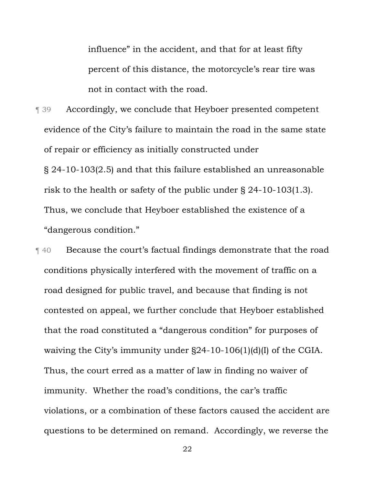influence" in the accident, and that for at least fifty percent of this distance, the motorcycle's rear tire was not in contact with the road.

¶ 39 Accordingly, we conclude that Heyboer presented competent evidence of the City's failure to maintain the road in the same state of repair or efficiency as initially constructed under § 24-10-103(2.5) and that this failure established an unreasonable risk to the health or safety of the public under § 24-10-103(1.3). Thus, we conclude that Heyboer established the existence of a "dangerous condition."

¶ 40 Because the court's factual findings demonstrate that the road conditions physically interfered with the movement of traffic on a road designed for public travel, and because that finding is not contested on appeal, we further conclude that Heyboer established that the road constituted a "dangerous condition" for purposes of waiving the City's immunity under §24-10-106(1)(d)(I) of the CGIA. Thus, the court erred as a matter of law in finding no waiver of immunity. Whether the road's conditions, the car's traffic violations, or a combination of these factors caused the accident are questions to be determined on remand. Accordingly, we reverse the